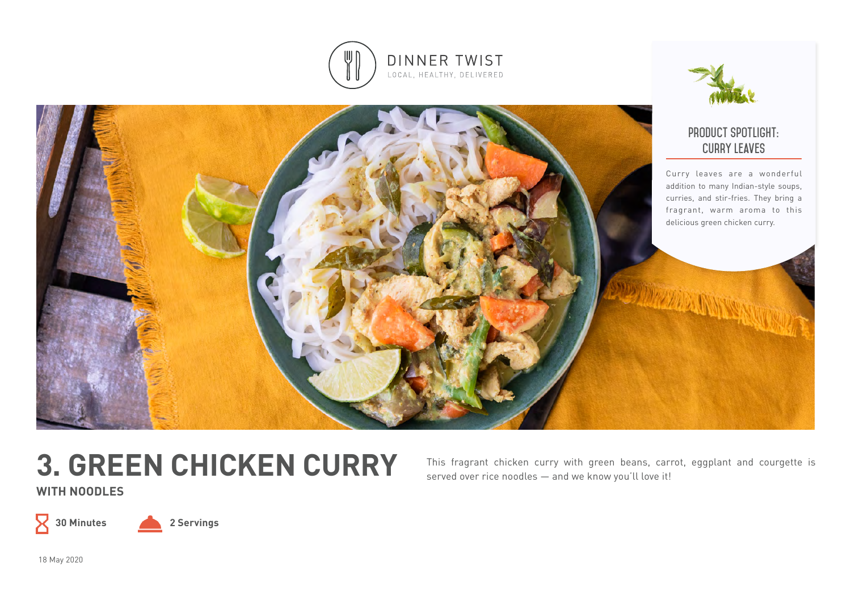



# **3. GREEN CHICKEN CURRY**

This fragrant chicken curry with green beans, carrot, eggplant and courgette is served over rice noodles — and we know you'll love it!

**WITH NOODLES**



**30 Minutes 2 Servings**

18 May 2020